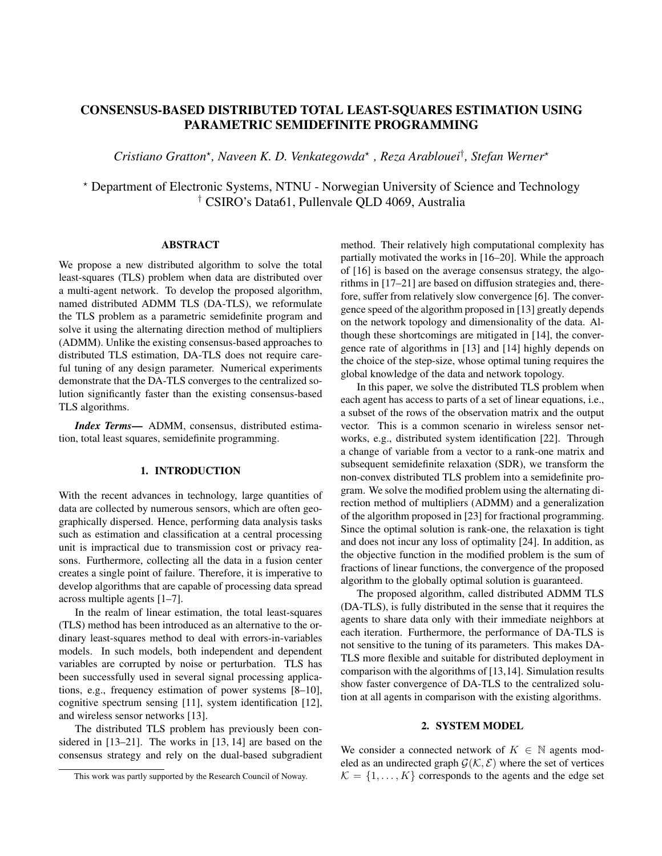# CONSENSUS-BASED DISTRIBUTED TOTAL LEAST-SQUARES ESTIMATION USING PARAMETRIC SEMIDEFINITE PROGRAMMING

*Cristiano Gratton*<sup>⋆</sup> *, Naveen K. D. Venkategowda*<sup>⋆</sup> *, Reza Arablouei*† *, Stefan Werner*<sup>⋆</sup>

<sup>⋆</sup> Department of Electronic Systems, NTNU - Norwegian University of Science and Technology † CSIRO's Data61, Pullenvale QLD 4069, Australia

# ABSTRACT

We propose a new distributed algorithm to solve the total least-squares (TLS) problem when data are distributed over a multi-agent network. To develop the proposed algorithm, named distributed ADMM TLS (DA-TLS), we reformulate the TLS problem as a parametric semidefinite program and solve it using the alternating direction method of multipliers (ADMM). Unlike the existing consensus-based approaches to distributed TLS estimation, DA-TLS does not require careful tuning of any design parameter. Numerical experiments demonstrate that the DA-TLS converges to the centralized solution significantly faster than the existing consensus-based TLS algorithms.

*Index Terms*— ADMM, consensus, distributed estimation, total least squares, semidefinite programming.

## 1. INTRODUCTION

With the recent advances in technology, large quantities of data are collected by numerous sensors, which are often geographically dispersed. Hence, performing data analysis tasks such as estimation and classification at a central processing unit is impractical due to transmission cost or privacy reasons. Furthermore, collecting all the data in a fusion center creates a single point of failure. Therefore, it is imperative to develop algorithms that are capable of processing data spread across multiple agents [1–7].

In the realm of linear estimation, the total least-squares (TLS) method has been introduced as an alternative to the ordinary least-squares method to deal with errors-in-variables models. In such models, both independent and dependent variables are corrupted by noise or perturbation. TLS has been successfully used in several signal processing applications, e.g., frequency estimation of power systems [8–10], cognitive spectrum sensing [11], system identification [12], and wireless sensor networks [13].

The distributed TLS problem has previously been considered in [13–21]. The works in [13, 14] are based on the consensus strategy and rely on the dual-based subgradient

method. Their relatively high computational complexity has partially motivated the works in [16–20]. While the approach of [16] is based on the average consensus strategy, the algorithms in [17–21] are based on diffusion strategies and, therefore, suffer from relatively slow convergence [6]. The convergence speed of the algorithm proposed in [13] greatly depends on the network topology and dimensionality of the data. Although these shortcomings are mitigated in [14], the convergence rate of algorithms in [13] and [14] highly depends on the choice of the step-size, whose optimal tuning requires the global knowledge of the data and network topology.

In this paper, we solve the distributed TLS problem when each agent has access to parts of a set of linear equations, i.e., a subset of the rows of the observation matrix and the output vector. This is a common scenario in wireless sensor networks, e.g., distributed system identification [22]. Through a change of variable from a vector to a rank-one matrix and subsequent semidefinite relaxation (SDR), we transform the non-convex distributed TLS problem into a semidefinite program. We solve the modified problem using the alternating direction method of multipliers (ADMM) and a generalization of the algorithm proposed in [23] for fractional programming. Since the optimal solution is rank-one, the relaxation is tight and does not incur any loss of optimality [24]. In addition, as the objective function in the modified problem is the sum of fractions of linear functions, the convergence of the proposed algorithm to the globally optimal solution is guaranteed.

The proposed algorithm, called distributed ADMM TLS (DA-TLS), is fully distributed in the sense that it requires the agents to share data only with their immediate neighbors at each iteration. Furthermore, the performance of DA-TLS is not sensitive to the tuning of its parameters. This makes DA-TLS more flexible and suitable for distributed deployment in comparison with the algorithms of [13,14]. Simulation results show faster convergence of DA-TLS to the centralized solution at all agents in comparison with the existing algorithms.

# 2. SYSTEM MODEL

We consider a connected network of  $K \in \mathbb{N}$  agents modeled as an undirected graph  $\mathcal{G}(\mathcal{K}, \mathcal{E})$  where the set of vertices  $\mathcal{K} = \{1, \ldots, K\}$  corresponds to the agents and the edge set

This work was partly supported by the Research Council of Noway.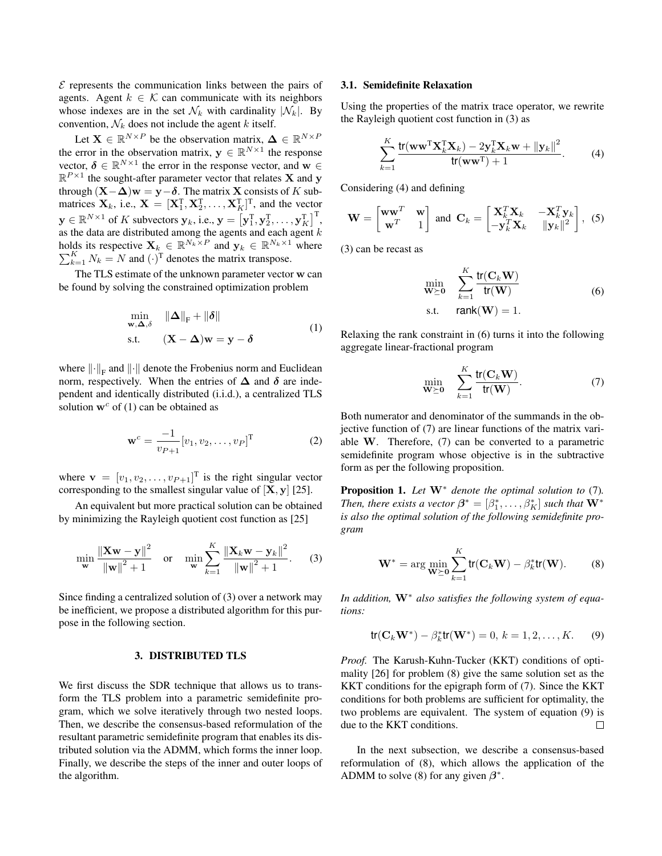$\mathcal E$  represents the communication links between the pairs of agents. Agent  $k \in \mathcal{K}$  can communicate with its neighbors whose indexes are in the set  $\mathcal{N}_k$  with cardinality  $|\mathcal{N}_k|$ . By convention,  $\mathcal{N}_k$  does not include the agent k itself.

Let  $X \in \mathbb{R}^{N \times P}$  be the observation matrix,  $\Delta \in \mathbb{R}^{N \times P}$ the error in the observation matrix,  $y \in \mathbb{R}^{N \times 1}$  the response vector,  $\boldsymbol{\delta} \in \mathbb{R}^{N \times 1}$  the error in the response vector, and  $\mathbf{w} \in$  $\mathbb{R}^{P \times 1}$  the sought-after parameter vector that relates **X** and **y** through  $(X-\Delta)w = y-\delta$ . The matrix X consists of K submatrices  $X_k$ , i.e.,  $X = [X_1^T, X_2^T, \dots, X_K^T]^T$ , and the vector  $\mathbf{y} \in \mathbb{R}^{N \times 1}$  of K subvectors  $\mathbf{y}_k$ , i.e.,  $\mathbf{y} = \left[\mathbf{y}_1^{\mathrm{T}}, \mathbf{y}_2^{\mathrm{T}}, \dots, \mathbf{y}_K^{\mathrm{T}}\right]^{\mathrm{T}}$ , as the data are distributed among the agents and each agent  $k$ holds its respective  $\mathbf{X}_k \in \mathbb{R}^{N_k \times P}$  and  $\mathbf{y}_k \in \mathbb{R}^{N_k \times 1}$  $\sum$ Ids its respective  $\mathbf{X}_k \in \mathbb{R}^{N_k \times P}$  and  $\mathbf{y}_k \in \mathbb{R}^{N_k \times 1}$  where  $\frac{K}{k+1} N_k = N$  and  $(\cdot)^T$  denotes the matrix transpose.

The TLS estimate of the unknown parameter vector w can be found by solving the constrained optimization problem

$$
\min_{\mathbf{w}, \Delta, \delta} \quad \|\Delta\|_{\mathrm{F}} + \|\delta\|
$$
\n
$$
\text{s.t.} \quad (\mathbf{X} - \Delta)\mathbf{w} = \mathbf{y} - \delta
$$
\n
$$
(1)
$$

where  $\left\Vert \cdot\right\Vert _{F}$  and  $\left\Vert \cdot\right\Vert$  denote the Frobenius norm and Euclidean norm, respectively. When the entries of  $\Delta$  and  $\delta$  are independent and identically distributed (i.i.d.), a centralized TLS solution  $w^c$  of (1) can be obtained as

$$
\mathbf{w}^c = \frac{-1}{v_{P+1}} [v_1, v_2, \dots, v_P]^{\mathrm{T}}
$$
 (2)

where  $\mathbf{v} = [v_1, v_2, \dots, v_{P+1}]^T$  is the right singular vector corresponding to the smallest singular value of  $[X, y]$  [25].

An equivalent but more practical solution can be obtained by minimizing the Rayleigh quotient cost function as [25]

$$
\min_{\mathbf{w}} \frac{\|\mathbf{X}\mathbf{w} - \mathbf{y}\|^2}{\|\mathbf{w}\|^2 + 1} \quad \text{or} \quad \min_{\mathbf{w}} \sum_{k=1}^K \frac{\|\mathbf{X}_k \mathbf{w} - \mathbf{y}_k\|^2}{\|\mathbf{w}\|^2 + 1}.
$$
 (3)

Since finding a centralized solution of (3) over a network may be inefficient, we propose a distributed algorithm for this purpose in the following section.

## 3. DISTRIBUTED TLS

We first discuss the SDR technique that allows us to transform the TLS problem into a parametric semidefinite program, which we solve iteratively through two nested loops. Then, we describe the consensus-based reformulation of the resultant parametric semidefinite program that enables its distributed solution via the ADMM, which forms the inner loop. Finally, we describe the steps of the inner and outer loops of the algorithm.

#### 3.1. Semidefinite Relaxation

Using the properties of the matrix trace operator, we rewrite the Rayleigh quotient cost function in (3) as

$$
\sum_{k=1}^{K} \frac{\text{tr}(\mathbf{w}\mathbf{w}^{\text{T}}\mathbf{X}_{k}^{\text{T}}\mathbf{X}_{k}) - 2\mathbf{y}_{k}^{\text{T}}\mathbf{X}_{k}\mathbf{w} + ||\mathbf{y}_{k}||^{2}}{\text{tr}(\mathbf{w}\mathbf{w}^{\text{T}}) + 1}.
$$
 (4)

Considering (4) and defining

$$
\mathbf{W} = \begin{bmatrix} \mathbf{w} \mathbf{w}^T & \mathbf{w} \\ \mathbf{w}^T & 1 \end{bmatrix} \text{ and } \mathbf{C}_k = \begin{bmatrix} \mathbf{X}_k^T \mathbf{X}_k & -\mathbf{X}_k^T \mathbf{y}_k \\ -\mathbf{y}_k^T \mathbf{X}_k & ||\mathbf{y}_k||^2 \end{bmatrix},
$$
(5)

(3) can be recast as

$$
\min_{\mathbf{W} \succeq \mathbf{0}} \quad \sum_{k=1}^{K} \frac{\text{tr}(\mathbf{C}_k \mathbf{W})}{\text{tr}(\mathbf{W})}
$$
\n
$$
\text{s.t.} \quad \text{rank}(\mathbf{W}) = 1.
$$
\n(6)

Relaxing the rank constraint in (6) turns it into the following aggregate linear-fractional program

$$
\min_{\mathbf{W} \succeq \mathbf{0}} \quad \sum_{k=1}^{K} \frac{\text{tr}(\mathbf{C}_k \mathbf{W})}{\text{tr}(\mathbf{W})}.
$$

Both numerator and denominator of the summands in the objective function of (7) are linear functions of the matrix variable W. Therefore, (7) can be converted to a parametric semidefinite program whose objective is in the subtractive form as per the following proposition.

Proposition 1. *Let* W<sup>∗</sup> *denote the optimal solution to* (7)*. Then, there exists a vector*  $\boldsymbol{\beta}^* = [\beta_1^*, \ldots, \beta_K^*]$  *such that*  $\mathbf{W}^*$ *is also the optimal solution of the following semidefinite program*

$$
\mathbf{W}^* = \arg\min_{\mathbf{W} \succeq \mathbf{0}} \sum_{k=1}^K \text{tr}(\mathbf{C}_k \mathbf{W}) - \beta_k^* \text{tr}(\mathbf{W}). \tag{8}
$$

*In addition,* W<sup>∗</sup> *also satisfies the following system of equations:*

$$
tr(C_k W^*) - \beta_k^* tr(W^*) = 0, \, k = 1, 2, \dots, K. \tag{9}
$$

*Proof.* The Karush-Kuhn-Tucker (KKT) conditions of optimality [26] for problem (8) give the same solution set as the KKT conditions for the epigraph form of (7). Since the KKT conditions for both problems are sufficient for optimality, the two problems are equivalent. The system of equation (9) is due to the KKT conditions.  $\Box$ 

In the next subsection, we describe a consensus-based reformulation of (8), which allows the application of the ADMM to solve (8) for any given  $\beta^*$ .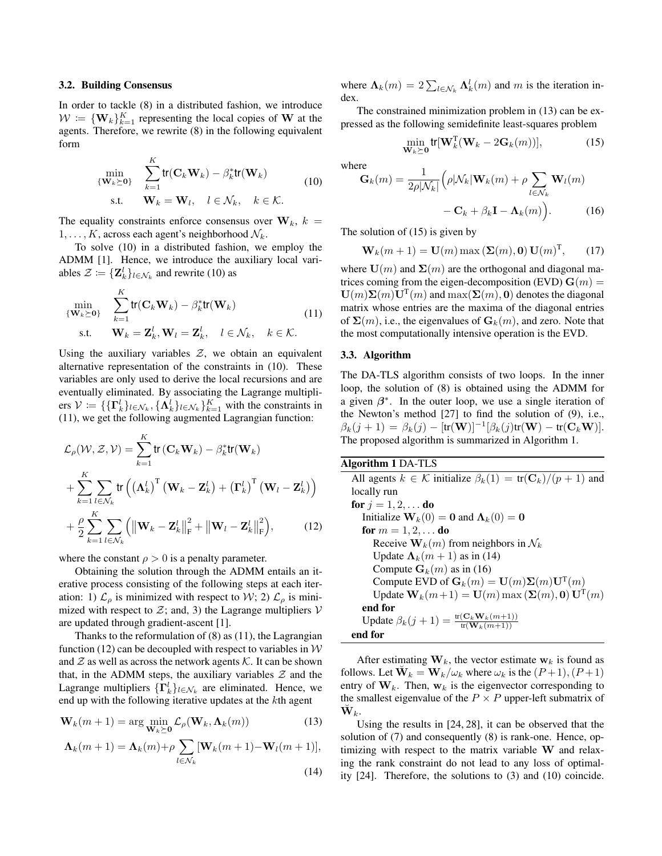#### 3.2. Building Consensus

In order to tackle (8) in a distributed fashion, we introduce  $W = \{W_k\}_{k=1}^K$  representing the local copies of W at the agents. Therefore, we rewrite (8) in the following equivalent form

$$
\min_{\{\mathbf{W}_k \succeq \mathbf{0}\}} \quad \sum_{k=1}^K \text{tr}(\mathbf{C}_k \mathbf{W}_k) - \beta_k^* \text{tr}(\mathbf{W}_k)
$$
\n
$$
\text{s.t.} \quad \mathbf{W}_k = \mathbf{W}_l, \quad l \in \mathcal{N}_k, \quad k \in \mathcal{K}.
$$
\n(10)

The equality constraints enforce consensus over  $W_k$ ,  $k =$  $1, \ldots, K$ , across each agent's neighborhood  $\mathcal{N}_k$ .

To solve (10) in a distributed fashion, we employ the ADMM [1]. Hence, we introduce the auxiliary local variables  $\mathcal{Z} \coloneqq {\mathbf{Z}_k^l}_{l \in \mathcal{N}_k}$  and rewrite (10) as

$$
\begin{aligned}\n\min_{\{\mathbf{W}_k \succeq \mathbf{0}\}} & \sum_{k=1}^K \text{tr}(\mathbf{C}_k \mathbf{W}_k) - \beta_k^* \text{tr}(\mathbf{W}_k) \\
\text{s.t.} & \mathbf{W}_k = \mathbf{Z}_k^l, \mathbf{W}_l = \mathbf{Z}_k^l, \quad l \in \mathcal{N}_k, \quad k \in \mathcal{K}.\n\end{aligned} \tag{11}
$$

Using the auxiliary variables  $Z$ , we obtain an equivalent alternative representation of the constraints in (10). These variables are only used to derive the local recursions and are eventually eliminated. By associating the Lagrange multipliers  $V = \{\{\Gamma_k^l\}_{l \in \mathcal{N}_k}, \{\Lambda_k^l\}_{l \in \mathcal{N}_k}\}_{k=1}^K$  with the constraints in (11), we get the following augmented Lagrangian function:

$$
\mathcal{L}_{\rho}(\mathcal{W}, \mathcal{Z}, \mathcal{V}) = \sum_{k=1}^{K} \text{tr}(\mathbf{C}_{k} \mathbf{W}_{k}) - \beta_{k}^{*} \text{tr}(\mathbf{W}_{k}) \n+ \sum_{k=1}^{K} \sum_{l \in \mathcal{N}_{k}} \text{tr}((\mathbf{\Lambda}_{k}^{l})^{T} (\mathbf{W}_{k} - \mathbf{Z}_{k}^{l}) + (\mathbf{\Gamma}_{k}^{l})^{T} (\mathbf{W}_{l} - \mathbf{Z}_{k}^{l})) \n+ \frac{\rho}{2} \sum_{k=1}^{K} \sum_{l \in \mathcal{N}_{k}} (\|\mathbf{W}_{k} - \mathbf{Z}_{k}^{l}\|_{F}^{2} + \|\mathbf{W}_{l} - \mathbf{Z}_{k}^{l}\|_{F}^{2}),
$$
\n(12)

where the constant  $\rho > 0$  is a penalty parameter.

Obtaining the solution through the ADMM entails an iterative process consisting of the following steps at each iteration: 1)  $\mathcal{L}_{\rho}$  is minimized with respect to W; 2)  $\mathcal{L}_{\rho}$  is minimized with respect to  $\mathcal{Z}$ ; and, 3) the Lagrange multipliers V are updated through gradient-ascent [1].

Thanks to the reformulation of (8) as (11), the Lagrangian function (12) can be decoupled with respect to variables in  $W$ and  $\mathcal Z$  as well as across the network agents  $\mathcal K$ . It can be shown that, in the ADMM steps, the auxiliary variables  $\mathcal Z$  and the Lagrange multipliers  $\{\Gamma_k^l\}_{l \in \mathcal{N}_k}$  are eliminated. Hence, we end up with the following iterative updates at the kth agent

$$
\mathbf{W}_k(m+1) = \arg\min_{\mathbf{W}_k \succeq \mathbf{0}} \mathcal{L}_{\rho}(\mathbf{W}_k, \mathbf{\Lambda}_k(m))
$$
(13)

$$
\Lambda_k(m+1) = \Lambda_k(m) + \rho \sum_{l \in \mathcal{N}_k} [\mathbf{W}_k(m+1) - \mathbf{W}_l(m+1)],
$$
\n(14)

where  $\Lambda_k(m) = 2 \sum_{l \in \mathcal{N}_k} \Lambda_k^l(m)$  and m is the iteration index.

The constrained minimization problem in (13) can be expressed as the following semidefinite least-squares problem

$$
\min_{\mathbf{W}_k \succeq \mathbf{0}} \text{tr}[\mathbf{W}_k^{\mathrm{T}}(\mathbf{W}_k - 2\mathbf{G}_k(m))],\tag{15}
$$

where

$$
\mathbf{G}_k(m) = \frac{1}{2\rho|\mathcal{N}_k|} \left( \rho|\mathcal{N}_k|\mathbf{W}_k(m) + \rho \sum_{l \in \mathcal{N}_k} \mathbf{W}_l(m) - \mathbf{C}_k + \beta_k \mathbf{I} - \mathbf{\Lambda}_k(m) \right). \tag{16}
$$

The solution of (15) is given by

$$
\mathbf{W}_k(m+1) = \mathbf{U}(m) \max\left(\mathbf{\Sigma}(m), \mathbf{0}\right) \mathbf{U}(m)^{\mathrm{T}},\qquad(17)
$$

where  $U(m)$  and  $\Sigma(m)$  are the orthogonal and diagonal matrices coming from the eigen-decomposition (EVD)  $\mathbf{G}(m)$  =  $\mathbf{U}(m)\mathbf{\Sigma}(m)\mathbf{U}^{\mathrm{T}}(m)$  and  $\max(\mathbf{\Sigma}(m),\mathbf{0})$  denotes the diagonal matrix whose entries are the maxima of the diagonal entries of  $\Sigma(m)$ , i.e., the eigenvalues of  $\mathbf{G}_k(m)$ , and zero. Note that the most computationally intensive operation is the EVD.

## 3.3. Algorithm

The DA-TLS algorithm consists of two loops. In the inner loop, the solution of (8) is obtained using the ADMM for a given  $\beta^*$ . In the outer loop, we use a single iteration of the Newton's method [27] to find the solution of (9), i.e.,  $\beta_k(j+1) = \beta_k(j) - [\text{tr}(\mathbf{W})]^{-1} [\beta_k(j)\text{tr}(\mathbf{W}) - \text{tr}(\mathbf{C}_k \mathbf{W})].$ The proposed algorithm is summarized in Algorithm 1.

Algorithm 1 DA-TLS All agents  $k \in \mathcal{K}$  initialize  $\beta_k(1) = \text{tr}(\mathbf{C}_k)/(p+1)$  and locally run **for**  $j = 1, 2, ...$  **do** Initialize  $\mathbf{W}_k(0) = \mathbf{0}$  and  $\mathbf{\Lambda}_k(0) = \mathbf{0}$ for  $m = 1, 2, ...$  do Receive  $\mathbf{W}_k(m)$  from neighbors in  $\mathcal{N}_k$ Update  $\Lambda_k(m+1)$  as in (14) Compute  $G_k(m)$  as in (16) Compute EVD of  $\mathbf{G}_k(m) = \mathbf{U}(m)\mathbf{\Sigma}(m)\mathbf{U}^{\mathrm{T}}(m)$ Update  $\mathbf{W}_k(m+1) = \mathbf{U}(m) \max\left(\mathbf{\Sigma}(m),\mathbf{0}\right) \mathbf{U}^{\mathrm{T}}(m)$ end for Update  $\beta_k(j+1) = \frac{\text{tr}(\mathbf{C}_k \mathbf{W}_k(m+1))}{\text{tr}(\mathbf{W}_k(m+1))}$ end for

After estimating  $W_k$ , the vector estimate  $w_k$  is found as follows. Let  $\breve{\mathbf{W}}_k = \mathbf{W}_k/\omega_k$  where  $\omega_k$  is the  $(P+1), (P+1)$ entry of  $W_k$ . Then,  $W_k$  is the eigenvector corresponding to the smallest eigenvalue of the  $P \times P$  upper-left submatrix of  $\breve{\mathbf{W}}_k.$ 

Using the results in [24, 28], it can be observed that the solution of (7) and consequently (8) is rank-one. Hence, optimizing with respect to the matrix variable W and relaxing the rank constraint do not lead to any loss of optimality [24]. Therefore, the solutions to (3) and (10) coincide.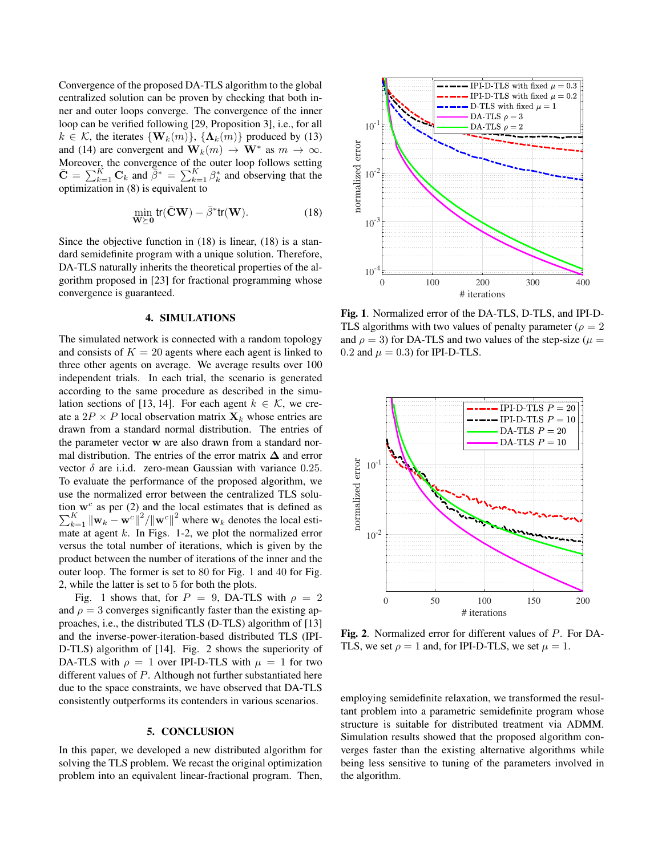Convergence of the proposed DA-TLS algorithm to the global centralized solution can be proven by checking that both inner and outer loops converge. The convergence of the inner loop can be verified following [29, Proposition 3], i.e., for all  $k \in \mathcal{K}$ , the iterates  $\{ \mathbf{W}_k(m) \}$ ,  $\{ \mathbf{\Lambda}_k(m) \}$  produced by (13) and (14) are convergent and  $\mathbf{W}_k(m) \to \mathbf{W}^*$  as  $m \to \infty$ . Moreover, the convergence of the outer loop follows setting  $\bar{\mathbf{C}} = \sum_{k=1}^K \mathbf{C}_k$  and  $\bar{\bar{\beta}}^* = \sum_{k=1}^K \beta_k^*$  and observing that the optimization in (8) is equivalent to

$$
\min_{\mathbf{W} \succeq \mathbf{0}} tr(\bar{\mathbf{C}} \mathbf{W}) - \bar{\beta}^* tr(\mathbf{W}).
$$
\n(18)

Since the objective function in (18) is linear, (18) is a standard semidefinite program with a unique solution. Therefore, DA-TLS naturally inherits the theoretical properties of the algorithm proposed in [23] for fractional programming whose convergence is guaranteed.

### 4. SIMULATIONS

The simulated network is connected with a random topology and consists of  $K = 20$  agents where each agent is linked to three other agents on average. We average results over 100 independent trials. In each trial, the scenario is generated according to the same procedure as described in the simulation sections of [13, 14]. For each agent  $k \in \mathcal{K}$ , we create a  $2P \times P$  local observation matrix  $\mathbf{X}_k$  whose entries are drawn from a standard normal distribution. The entries of the parameter vector w are also drawn from a standard normal distribution. The entries of the error matrix  $\Delta$  and error vector  $\delta$  are i.i.d. zero-mean Gaussian with variance 0.25. To evaluate the performance of the proposed algorithm, we use the normalized error between the centralized TLS solution  $\mathbf{w}^c$  $\sum$ n w<sup>c</sup> as per (2) and the local estimates that is defined as  $K_{k=1} | |\mathbf{w}_k - \mathbf{w}^c||^2 / ||\mathbf{w}^c||^2$  where  $\mathbf{w}_k$  denotes the local estimate at agent  $k$ . In Figs. 1-2, we plot the normalized error versus the total number of iterations, which is given by the product between the number of iterations of the inner and the outer loop. The former is set to 80 for Fig. 1 and 40 for Fig. 2, while the latter is set to 5 for both the plots.

Fig. 1 shows that, for  $P = 9$ , DA-TLS with  $\rho = 2$ and  $\rho = 3$  converges significantly faster than the existing approaches, i.e., the distributed TLS (D-TLS) algorithm of [13] and the inverse-power-iteration-based distributed TLS (IPI-D-TLS) algorithm of [14]. Fig. 2 shows the superiority of DA-TLS with  $\rho = 1$  over IPI-D-TLS with  $\mu = 1$  for two different values of P. Although not further substantiated here due to the space constraints, we have observed that DA-TLS consistently outperforms its contenders in various scenarios.

# 5. CONCLUSION

In this paper, we developed a new distributed algorithm for solving the TLS problem. We recast the original optimization problem into an equivalent linear-fractional program. Then,



Fig. 1. Normalized error of the DA-TLS, D-TLS, and IPI-D-TLS algorithms with two values of penalty parameter ( $\rho = 2$ and  $\rho = 3$ ) for DA-TLS and two values of the step-size ( $\mu =$ 0.2 and  $\mu = 0.3$ ) for IPI-D-TLS.



Fig. 2. Normalized error for different values of P. For DA-TLS, we set  $\rho = 1$  and, for IPI-D-TLS, we set  $\mu = 1$ .

employing semidefinite relaxation, we transformed the resultant problem into a parametric semidefinite program whose structure is suitable for distributed treatment via ADMM. Simulation results showed that the proposed algorithm converges faster than the existing alternative algorithms while being less sensitive to tuning of the parameters involved in the algorithm.